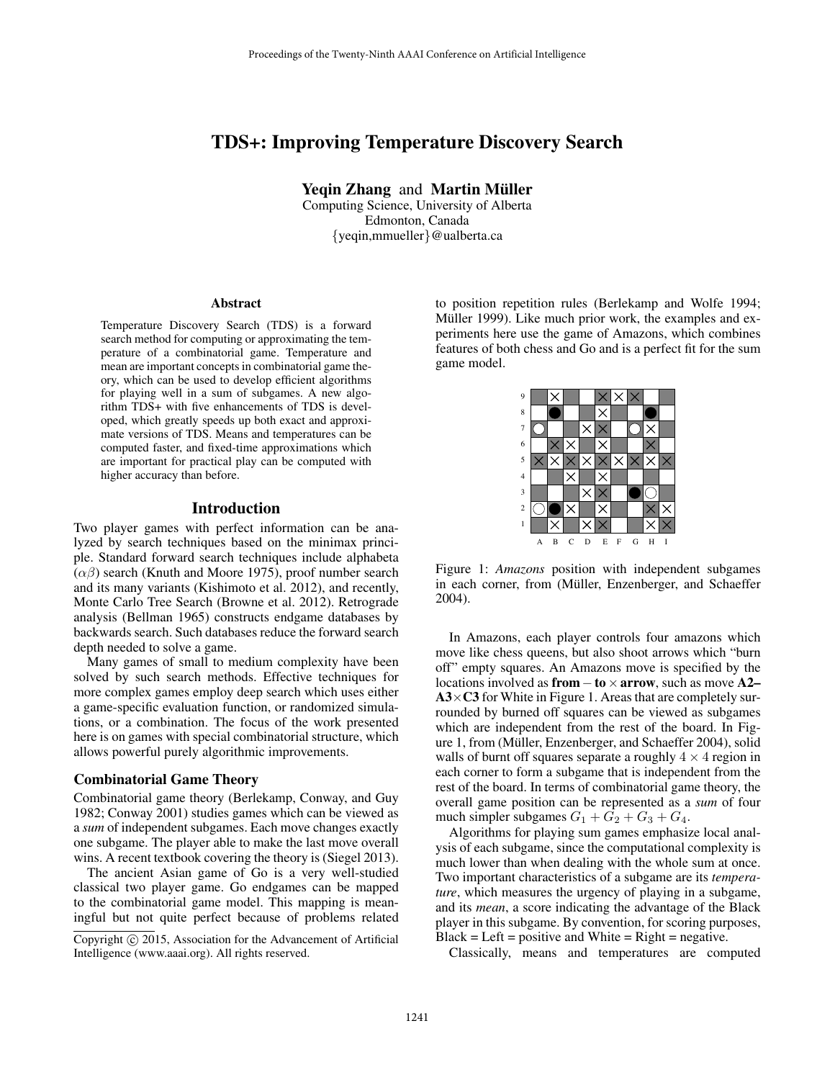# TDS+: Improving Temperature Discovery Search

Yeqin Zhang and Martin Müller

Computing Science, University of Alberta Edmonton, Canada {yeqin,mmueller}@ualberta.ca

#### Abstract

Temperature Discovery Search (TDS) is a forward search method for computing or approximating the temperature of a combinatorial game. Temperature and mean are important concepts in combinatorial game theory, which can be used to develop efficient algorithms for playing well in a sum of subgames. A new algorithm TDS+ with five enhancements of TDS is developed, which greatly speeds up both exact and approximate versions of TDS. Means and temperatures can be computed faster, and fixed-time approximations which are important for practical play can be computed with higher accuracy than before.

## Introduction

Two player games with perfect information can be analyzed by search techniques based on the minimax principle. Standard forward search techniques include alphabeta  $(\alpha\beta)$  search (Knuth and Moore 1975), proof number search and its many variants (Kishimoto et al. 2012), and recently, Monte Carlo Tree Search (Browne et al. 2012). Retrograde analysis (Bellman 1965) constructs endgame databases by backwards search. Such databases reduce the forward search depth needed to solve a game.

Many games of small to medium complexity have been solved by such search methods. Effective techniques for more complex games employ deep search which uses either a game-specific evaluation function, or randomized simulations, or a combination. The focus of the work presented here is on games with special combinatorial structure, which allows powerful purely algorithmic improvements.

### Combinatorial Game Theory

Combinatorial game theory (Berlekamp, Conway, and Guy 1982; Conway 2001) studies games which can be viewed as a *sum* of independent subgames. Each move changes exactly one subgame. The player able to make the last move overall wins. A recent textbook covering the theory is (Siegel 2013).

The ancient Asian game of Go is a very well-studied classical two player game. Go endgames can be mapped to the combinatorial game model. This mapping is meaningful but not quite perfect because of problems related

to position repetition rules (Berlekamp and Wolfe 1994; Müller 1999). Like much prior work, the examples and experiments here use the game of Amazons, which combines features of both chess and Go and is a perfect fit for the sum game model.



Figure 1: *Amazons* position with independent subgames in each corner, from (Müller, Enzenberger, and Schaeffer 2004).

In Amazons, each player controls four amazons which move like chess queens, but also shoot arrows which "burn off" empty squares. An Amazons move is specified by the locations involved as from  $-$  to  $\times$  arrow, such as move A2–  $A3\times C3$  for White in Figure 1. Areas that are completely surrounded by burned off squares can be viewed as subgames which are independent from the rest of the board. In Figure 1, from (Müller, Enzenberger, and Schaeffer 2004), solid walls of burnt off squares separate a roughly  $4 \times 4$  region in each corner to form a subgame that is independent from the rest of the board. In terms of combinatorial game theory, the overall game position can be represented as a *sum* of four much simpler subgames  $G_1 + G_2 + G_3 + G_4$ .

Algorithms for playing sum games emphasize local analysis of each subgame, since the computational complexity is much lower than when dealing with the whole sum at once. Two important characteristics of a subgame are its *temperature*, which measures the urgency of playing in a subgame, and its *mean*, a score indicating the advantage of the Black player in this subgame. By convention, for scoring purposes,  $Black = Left = positive and White = Right = negative.$ 

Classically, means and temperatures are computed

Copyright (c) 2015, Association for the Advancement of Artificial Intelligence (www.aaai.org). All rights reserved.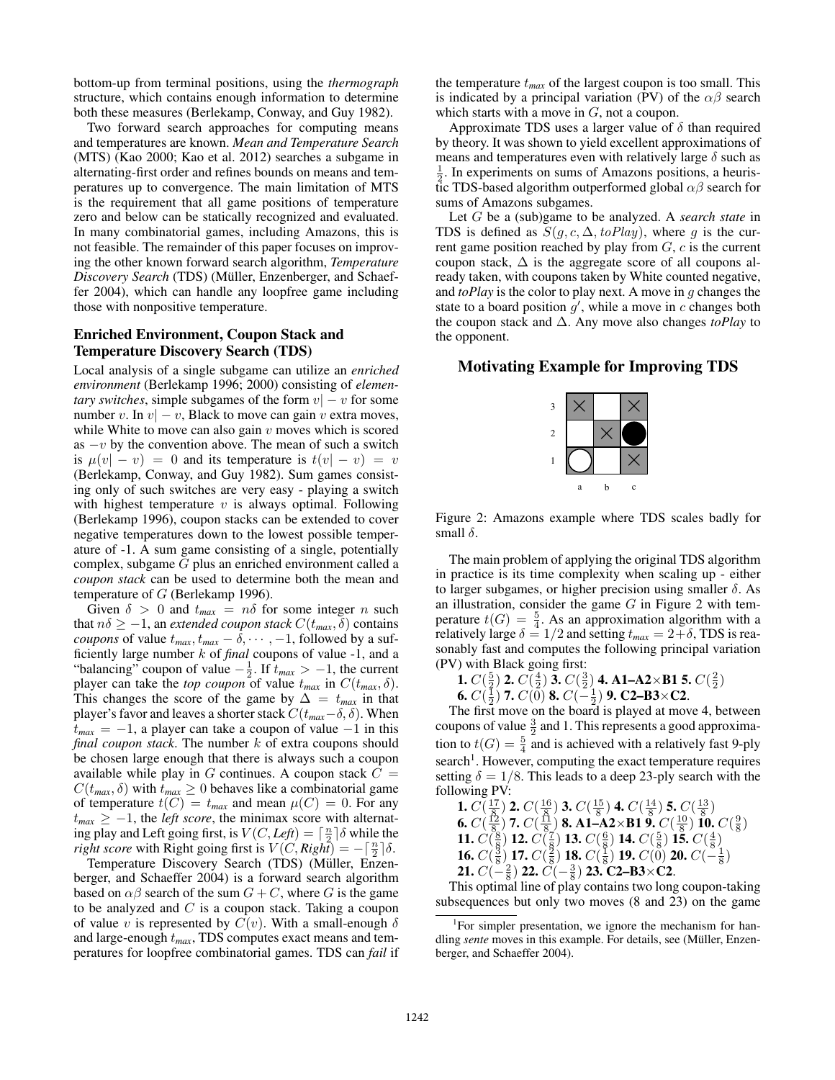bottom-up from terminal positions, using the *thermograph* structure, which contains enough information to determine both these measures (Berlekamp, Conway, and Guy 1982).

Two forward search approaches for computing means and temperatures are known. *Mean and Temperature Search* (MTS) (Kao 2000; Kao et al. 2012) searches a subgame in alternating-first order and refines bounds on means and temperatures up to convergence. The main limitation of MTS is the requirement that all game positions of temperature zero and below can be statically recognized and evaluated. In many combinatorial games, including Amazons, this is not feasible. The remainder of this paper focuses on improving the other known forward search algorithm, *Temperature Discovery Search* (TDS) (Müller, Enzenberger, and Schaeffer 2004), which can handle any loopfree game including those with nonpositive temperature.

## Enriched Environment, Coupon Stack and Temperature Discovery Search (TDS)

Local analysis of a single subgame can utilize an *enriched environment* (Berlekamp 1996; 2000) consisting of *elementary switches*, simple subgames of the form  $v - v$  for some number v. In  $v - v$ , Black to move can gain v extra moves, while White to move can also gain  $v$  moves which is scored as  $-v$  by the convention above. The mean of such a switch is  $\mu(v| - v) = 0$  and its temperature is  $t(v| - v) = v$ (Berlekamp, Conway, and Guy 1982). Sum games consisting only of such switches are very easy - playing a switch with highest temperature  $v$  is always optimal. Following (Berlekamp 1996), coupon stacks can be extended to cover negative temperatures down to the lowest possible temperature of -1. A sum game consisting of a single, potentially complex, subgame G plus an enriched environment called a *coupon stack* can be used to determine both the mean and temperature of G (Berlekamp 1996).

Given  $\delta > 0$  and  $t_{max} = n\delta$  for some integer n such that  $n\delta \geq -1$ , an *extended coupon stack*  $C(t_{max}, \delta)$  contains *coupons* of value  $t_{max}$ ,  $t_{max} - \overline{\delta}$ ,  $\cdots$ , -1, followed by a sufficiently large number k of *final* coupons of value -1, and a "balancing" coupon of value  $-\frac{1}{2}$ . If  $t_{max} > -1$ , the current player can take the *top coupon* of value  $t_{max}$  in  $C(t_{max}, \delta)$ . This changes the score of the game by  $\Delta = t_{max}$  in that player's favor and leaves a shorter stack  $C(t_{max}-\delta,\delta)$ . When  $t_{max} = -1$ , a player can take a coupon of value  $-1$  in this *final coupon stack*. The number k of extra coupons should be chosen large enough that there is always such a coupon available while play in G continues. A coupon stack  $C =$  $C(t_{max}, \delta)$  with  $t_{max} \ge 0$  behaves like a combinatorial game of temperature  $t(C) = t_{max}$  and mean  $\mu(C) = 0$ . For any  $t_{max} \geq -1$ , the *left score*, the minimax score with alternating play and Left going first, is  $V(C, \text{Left}) = \lceil \frac{n}{2} \rceil \delta$  while the *right score* with Right going first is  $V(C, Right) = -\left[\frac{n}{2}\right]\delta$ .

Temperature Discovery Search (TDS) (Müller, Enzenberger, and Schaeffer 2004) is a forward search algorithm based on  $\alpha\beta$  search of the sum  $G + C$ , where G is the game to be analyzed and  $C$  is a coupon stack. Taking a coupon of value v is represented by  $C(v)$ . With a small-enough  $\delta$ and large-enough t*max*, TDS computes exact means and temperatures for loopfree combinatorial games. TDS can *fail* if the temperature  $t_{max}$  of the largest coupon is too small. This is indicated by a principal variation (PV) of the  $\alpha\beta$  search which starts with a move in  $G$ , not a coupon.

Approximate TDS uses a larger value of  $\delta$  than required by theory. It was shown to yield excellent approximations of means and temperatures even with relatively large  $\delta$  such as  $\frac{1}{2}$ . In experiments on sums of Amazons positions, a heuristic TDS-based algorithm outperformed global  $\alpha\beta$  search for sums of Amazons subgames.

Let G be a (sub)game to be analyzed. A *search state* in TDS is defined as  $S(g, c, \Delta, to Play)$ , where g is the current game position reached by play from  $G$ ,  $c$  is the current coupon stack,  $\Delta$  is the aggregate score of all coupons already taken, with coupons taken by White counted negative, and *toPlay* is the color to play next. A move in g changes the state to a board position  $g'$ , while a move in c changes both the coupon stack and ∆. Any move also changes *toPlay* to the opponent.

## Motivating Example for Improving TDS



Figure 2: Amazons example where TDS scales badly for small  $\delta$ .

The main problem of applying the original TDS algorithm in practice is its time complexity when scaling up - either to larger subgames, or higher precision using smaller  $\delta$ . As an illustration, consider the game  $G$  in Figure 2 with temperature  $t(G) = \frac{5}{4}$ . As an approximation algorithm with a relatively large  $\delta = 1/2$  and setting  $t_{max} = 2 + \delta$ , TDS is reasonably fast and computes the following principal variation (PV) with Black going first:

1.  $C(\frac{5}{2})$  2.  $C(\frac{4}{2})$  3.  $C(\frac{3}{2})$  4. A1–A2×B1 5.  $C(\frac{2}{2})$ 

6.  $C(\frac{1}{2})$  7.  $C(\overline{0})$  8.  $C(-\frac{1}{2})$  9. C2–B3×C2.

The first move on the board is played at move 4, between coupons of value  $\frac{3}{2}$  and 1. This represents a good approximation to  $t(G) = \frac{5}{4}$  and is achieved with a relatively fast 9-ply search<sup>1</sup>. However, computing the exact temperature requires setting  $\delta = 1/8$ . This leads to a deep 23-ply search with the following PV:  $\overline{15}$ 14

**1.** 
$$
C(\frac{17}{8})
$$
 **2.**  $C(\frac{16}{8})$  **3.**  $C(\frac{15}{8})$  **4.**  $C(\frac{14}{8})$  **5.**  $C(\frac{13}{8})$   
**6.**  $C(\frac{12}{8})$  **7.**  $C(\frac{11}{8})$  **8. A1-A2×B1 9.**  $C(\frac{10}{8})$  **10.**  $C(\frac{9}{8})$   
**11.**  $C(\frac{8}{8})$  **12.**  $C(\frac{7}{8})$  **13.**  $C(\frac{6}{8})$  **14.**  $C(\frac{5}{8})$  **15.**  $C(\frac{4}{8})$   
**16.**  $C(\frac{3}{8})$  **17.**  $C(\frac{2}{8})$  **18.**  $C(\frac{1}{8})$  **19.**  $C(0)$  **20.**  $C(-\frac{1}{8})$   
**21.**  $C(-\frac{2}{8})$  **22.**  $C(-\frac{3}{8})$  **23. C2-B3×C2.**

**EXECUTE:**  $\frac{8}{8}$  **EXECUTES CZ-B3**  $\times$  **C2**.<br>This optimal line of play contains two long coupon-taking subsequences but only two moves (8 and 23) on the game

<sup>&</sup>lt;sup>1</sup>For simpler presentation, we ignore the mechanism for handling *sente* moves in this example. For details, see (Müller, Enzenberger, and Schaeffer 2004).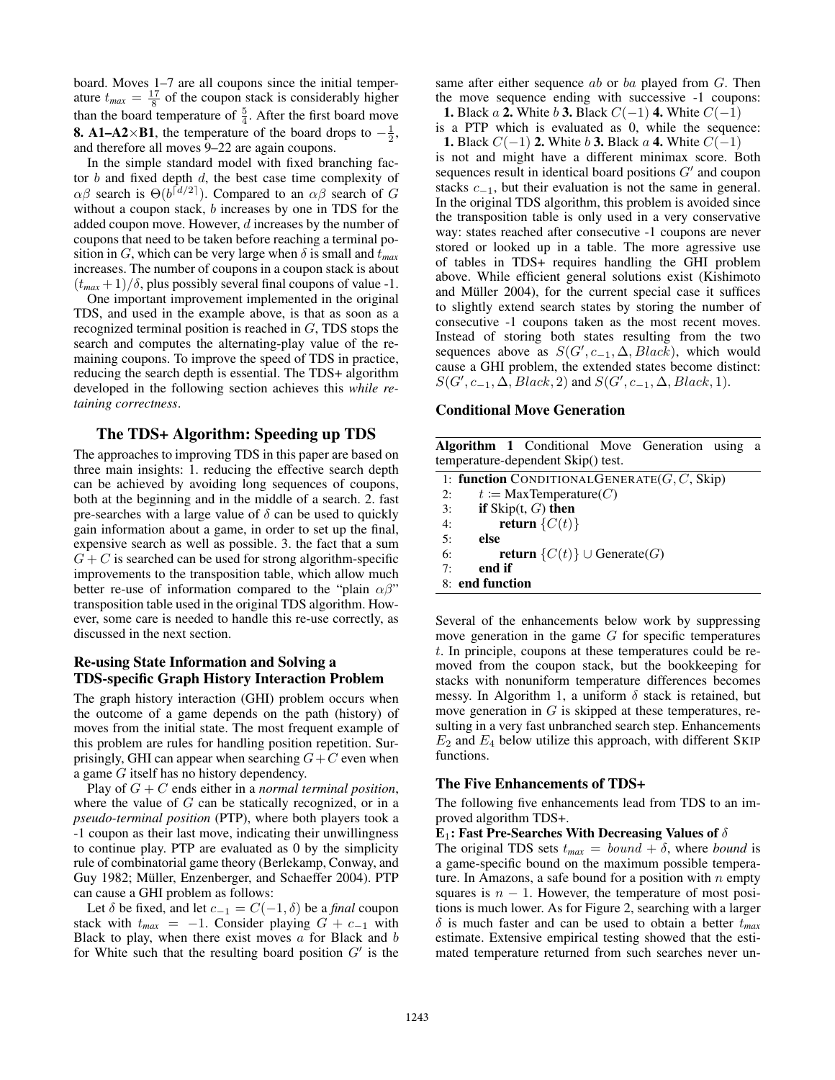board. Moves 1–7 are all coupons since the initial temperature  $t_{max} = \frac{17}{8}$  of the coupon stack is considerably higher than the board temperature of  $\frac{5}{4}$ . After the first board move **8.** A1–A2×B1, the temperature of the board drops to  $-\frac{1}{2}$ , and therefore all moves 9–22 are again coupons.

In the simple standard model with fixed branching factor  $b$  and fixed depth  $d$ , the best case time complexity of  $\alpha\beta$  search is  $\Theta(b^{\lceil d/2 \rceil})$ . Compared to an  $\alpha\beta$  search of G without a coupon stack, b increases by one in TDS for the added coupon move. However, d increases by the number of coupons that need to be taken before reaching a terminal position in G, which can be very large when  $\delta$  is small and  $t_{max}$ increases. The number of coupons in a coupon stack is about  $(t_{max} + 1)/\delta$ , plus possibly several final coupons of value -1.

One important improvement implemented in the original TDS, and used in the example above, is that as soon as a recognized terminal position is reached in G, TDS stops the search and computes the alternating-play value of the remaining coupons. To improve the speed of TDS in practice, reducing the search depth is essential. The TDS+ algorithm developed in the following section achieves this *while retaining correctness*.

## The TDS+ Algorithm: Speeding up TDS

The approaches to improving TDS in this paper are based on three main insights: 1. reducing the effective search depth can be achieved by avoiding long sequences of coupons, both at the beginning and in the middle of a search. 2. fast pre-searches with a large value of  $\delta$  can be used to quickly gain information about a game, in order to set up the final, expensive search as well as possible. 3. the fact that a sum  $G + C$  is searched can be used for strong algorithm-specific improvements to the transposition table, which allow much better re-use of information compared to the "plain  $\alpha\beta$ " transposition table used in the original TDS algorithm. However, some care is needed to handle this re-use correctly, as discussed in the next section.

## Re-using State Information and Solving a TDS-specific Graph History Interaction Problem

The graph history interaction (GHI) problem occurs when the outcome of a game depends on the path (history) of moves from the initial state. The most frequent example of this problem are rules for handling position repetition. Surprisingly, GHI can appear when searching  $G+C$  even when a game G itself has no history dependency.

Play of G + C ends either in a *normal terminal position*, where the value of  $G$  can be statically recognized, or in a *pseudo-terminal position* (PTP), where both players took a -1 coupon as their last move, indicating their unwillingness to continue play. PTP are evaluated as 0 by the simplicity rule of combinatorial game theory (Berlekamp, Conway, and Guy 1982; Müller, Enzenberger, and Schaeffer 2004). PTP can cause a GHI problem as follows:

Let  $\delta$  be fixed, and let  $c_{-1} = C(-1, \delta)$  be a *final* coupon stack with  $t_{max} = -1$ . Consider playing  $G + c_{-1}$  with Black to play, when there exist moves  $a$  for Black and  $b$ for White such that the resulting board position  $G'$  is the

same after either sequence *ab* or *ba* played from *G*. Then the move sequence ending with successive -1 coupons:

**1.** Black *a* **2.** White *b* **3.** Black  $C(-1)$  **4.** White  $C(-1)$ is a PTP which is evaluated as 0, while the sequence: **1.** Black  $C(-1)$  **2.** White b 3. Black a 4. White  $C(-1)$ 

is not and might have a different minimax score. Both sequences result in identical board positions  $G'$  and coupon stacks  $c_{-1}$ , but their evaluation is not the same in general. In the original TDS algorithm, this problem is avoided since the transposition table is only used in a very conservative way: states reached after consecutive -1 coupons are never stored or looked up in a table. The more agressive use of tables in TDS+ requires handling the GHI problem above. While efficient general solutions exist (Kishimoto and Müller 2004), for the current special case it suffices to slightly extend search states by storing the number of consecutive -1 coupons taken as the most recent moves. Instead of storing both states resulting from the two sequences above as  $S(G', c_{-1}, \Delta, Black)$ , which would cause a GHI problem, the extended states become distinct:  $S(G', c_{-1}, \Delta, Black, 2)$  and  $S(G', c_{-1}, \Delta, Black, 1)$ .

### Conditional Move Generation

Algorithm 1 Conditional Move Generation using a temperature-dependent Skip() test.

|    | 1: function CONDITIONAL GENERATE( $G, C$ , Skip) |
|----|--------------------------------------------------|
| 2: | $t := \text{MaxTemperature}(C)$                  |
| 3: | if $\text{Skip}(t, G)$ then                      |
| 4: | return $\{C(t)\}$                                |
| 5: | else                                             |
| 6: | <b>return</b> $\{C(t)\}$ $\cup$ Generate(G)      |
| 7: | end if                                           |
|    | 8: end function                                  |

Several of the enhancements below work by suppressing move generation in the game  $G$  for specific temperatures t. In principle, coupons at these temperatures could be removed from the coupon stack, but the bookkeeping for stacks with nonuniform temperature differences becomes messy. In Algorithm 1, a uniform  $\delta$  stack is retained, but move generation in  $G$  is skipped at these temperatures, resulting in a very fast unbranched search step. Enhancements  $E_2$  and  $E_4$  below utilize this approach, with different SKIP functions.

### The Five Enhancements of TDS+

The following five enhancements lead from TDS to an improved algorithm TDS+.

## E<sub>1</sub>: Fast Pre-Searches With Decreasing Values of  $\delta$

The original TDS sets  $t_{max} = bound + \delta$ , where *bound* is a game-specific bound on the maximum possible temperature. In Amazons, a safe bound for a position with  $n$  empty squares is  $n - 1$ . However, the temperature of most positions is much lower. As for Figure 2, searching with a larger  $\delta$  is much faster and can be used to obtain a better  $t_{max}$ estimate. Extensive empirical testing showed that the estimated temperature returned from such searches never un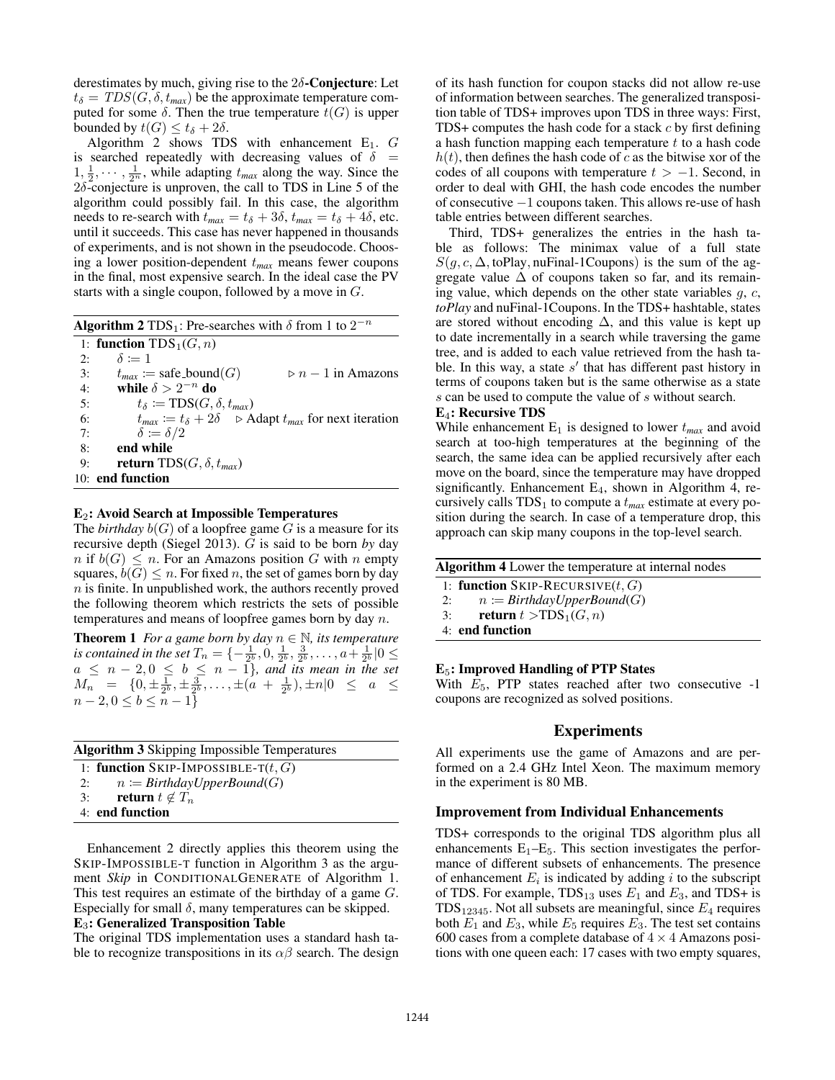derestimates by much, giving rise to the  $2\delta$ -Conjecture: Let  $t_{\delta} = TDS(G, \delta, t_{max})$  be the approximate temperature computed for some  $\delta$ . Then the true temperature  $t(G)$  is upper bounded by  $t(G) \le t_{\delta} + 2\delta$ .

Algorithm 2 shows TDS with enhancement  $E_1$ .  $G$ is searched repeatedly with decreasing values of  $\delta$  =  $1, \frac{1}{2}, \cdots, \frac{1}{2^n}$ , while adapting  $t_{max}$  along the way. Since the  $2\delta$ -conjecture is unproven, the call to TDS in Line 5 of the algorithm could possibly fail. In this case, the algorithm needs to re-search with  $t_{max} = t_{\delta} + 3\delta$ ,  $t_{max} = t_{\delta} + 4\delta$ , etc. until it succeeds. This case has never happened in thousands of experiments, and is not shown in the pseudocode. Choosing a lower position-dependent t*max* means fewer coupons in the final, most expensive search. In the ideal case the PV starts with a single coupon, followed by a move in G.

Algorithm 2 TDS<sub>1</sub>: Pre-searches with  $\delta$  from 1 to  $2^{-n}$ 

|    | 1: <b>function</b> $TDS_1(G, n)$                                                          |
|----|-------------------------------------------------------------------------------------------|
| 2: | $\delta \coloneqq 1$                                                                      |
| 3: | $t_{max} \coloneqq$ safe_bound(G)<br>$\triangleright$ n – 1 in Amazons                    |
| 4: | while $\delta > 2^{-n}$ do                                                                |
| 5: | $t_{\delta} \coloneqq \text{TDS}(G, \delta, t_{max})$                                     |
| 6: | $t_{max} \coloneqq t_{\delta} + 2\delta$ $\Rightarrow$ Adapt $t_{max}$ for next iteration |
| 7: | $\delta \coloneqq \delta/2$                                                               |
| 8: | end while                                                                                 |
| 9: | <b>return</b> TDS( <i>G</i> , $\delta$ , $t_{max}$ )                                      |
|    | $10:$ end function                                                                        |

#### $E_2$ : Avoid Search at Impossible Temperatures

The *birthday*  $b(G)$  of a loopfree game G is a measure for its recursive depth (Siegel 2013). G is said to be born *by* day  $n$  if  $b(G) \leq n$ . For an Amazons position G with n empty squares,  $b(G) \leq n$ . For fixed n, the set of games born by day n is finite. In unpublished work, the authors recently proved the following theorem which restricts the sets of possible temperatures and means of loopfree games born by day  $n$ .

**Theorem 1** *For a game born by day*  $n \in \mathbb{N}$ *, its temperature is contained in the set*  $T_n = \{-\frac{1}{2^b}, 0, \frac{1}{2^b}, \frac{3}{2^b}, \dots, a+\frac{1}{2^b} | 0 \leq$  $a \leq n-2, 0 \leq b \leq n-1$ *}, and its mean in the set*  $M_n$  =  $\{0, \pm \frac{1}{2^b}, \pm \frac{3}{2^b}, \ldots, \pm (a + \frac{1}{2^b}), \pm n | 0 \leq a \leq$  $n-2, 0 \leq b \leq n-1$ }

|    | <b>Algorithm 3</b> Skipping Impossible Temperatures |  |  |  |
|----|-----------------------------------------------------|--|--|--|
|    | 1: function SKIP-IMPOSSIBLE-T $(t, G)$              |  |  |  |
| 2: | $n \coloneqq \text{BirthdayUpperBound}(G)$          |  |  |  |
| 3: | return $t \notin T_n$                               |  |  |  |
|    | 4: end function                                     |  |  |  |

Enhancement 2 directly applies this theorem using the SKIP-IMPOSSIBLE-T function in Algorithm 3 as the argument *Skip* in CONDITIONALGENERATE of Algorithm 1. This test requires an estimate of the birthday of a game G. Especially for small  $\delta$ , many temperatures can be skipped.

## E3: Generalized Transposition Table

The original TDS implementation uses a standard hash table to recognize transpositions in its  $\alpha\beta$  search. The design

of its hash function for coupon stacks did not allow re-use of information between searches. The generalized transposition table of TDS+ improves upon TDS in three ways: First, TDS+ computes the hash code for a stack  $c$  by first defining a hash function mapping each temperature  $t$  to a hash code  $h(t)$ , then defines the hash code of c as the bitwise xor of the codes of all coupons with temperature  $t > -1$ . Second, in order to deal with GHI, the hash code encodes the number of consecutive −1 coupons taken. This allows re-use of hash table entries between different searches.

Third, TDS+ generalizes the entries in the hash table as follows: The minimax value of a full state  $S(g, c, \Delta, \text{toPlay}, \text{nuFinal-1Coupons})$  is the sum of the aggregate value  $\Delta$  of coupons taken so far, and its remaining value, which depends on the other state variables  $g, c$ , *toPlay* and nuFinal-1Coupons. In the TDS+ hashtable, states are stored without encoding  $\Delta$ , and this value is kept up to date incrementally in a search while traversing the game tree, and is added to each value retrieved from the hash table. In this way, a state  $s'$  that has different past history in terms of coupons taken but is the same otherwise as a state s can be used to compute the value of s without search.

#### E4: Recursive TDS

While enhancement  $E_1$  is designed to lower  $t_{max}$  and avoid search at too-high temperatures at the beginning of the search, the same idea can be applied recursively after each move on the board, since the temperature may have dropped significantly. Enhancement  $E_4$ , shown in Algorithm 4, recursively calls  $TDS_1$  to compute a  $t_{max}$  estimate at every position during the search. In case of a temperature drop, this approach can skip many coupons in the top-level search.

| <b>Algorithm 4</b> Lower the temperature at internal nodes |  |  |  |  |
|------------------------------------------------------------|--|--|--|--|
| 1: function SKIP-RECURSIVE $(t, G)$                        |  |  |  |  |
| $n \coloneqq \text{BirthdayUpperBound}(G)$<br>2:           |  |  |  |  |
| return $t > TDS_1(G, n)$<br>3:                             |  |  |  |  |
| 4: end function                                            |  |  |  |  |

### $E_5$ : Improved Handling of PTP States

With  $E_5$ , PTP states reached after two consecutive -1 coupons are recognized as solved positions.

## Experiments

All experiments use the game of Amazons and are performed on a 2.4 GHz Intel Xeon. The maximum memory in the experiment is 80 MB.

#### Improvement from Individual Enhancements

TDS+ corresponds to the original TDS algorithm plus all enhancements  $E_1-E_5$ . This section investigates the performance of different subsets of enhancements. The presence of enhancement  $E_i$  is indicated by adding i to the subscript of TDS. For example,  $TDS_{13}$  uses  $E_1$  and  $E_3$ , and TDS+ is  $TDS_{12345}$ . Not all subsets are meaningful, since  $E_4$  requires both  $E_1$  and  $E_3$ , while  $E_5$  requires  $E_3$ . The test set contains 600 cases from a complete database of  $4 \times 4$  Amazons positions with one queen each: 17 cases with two empty squares,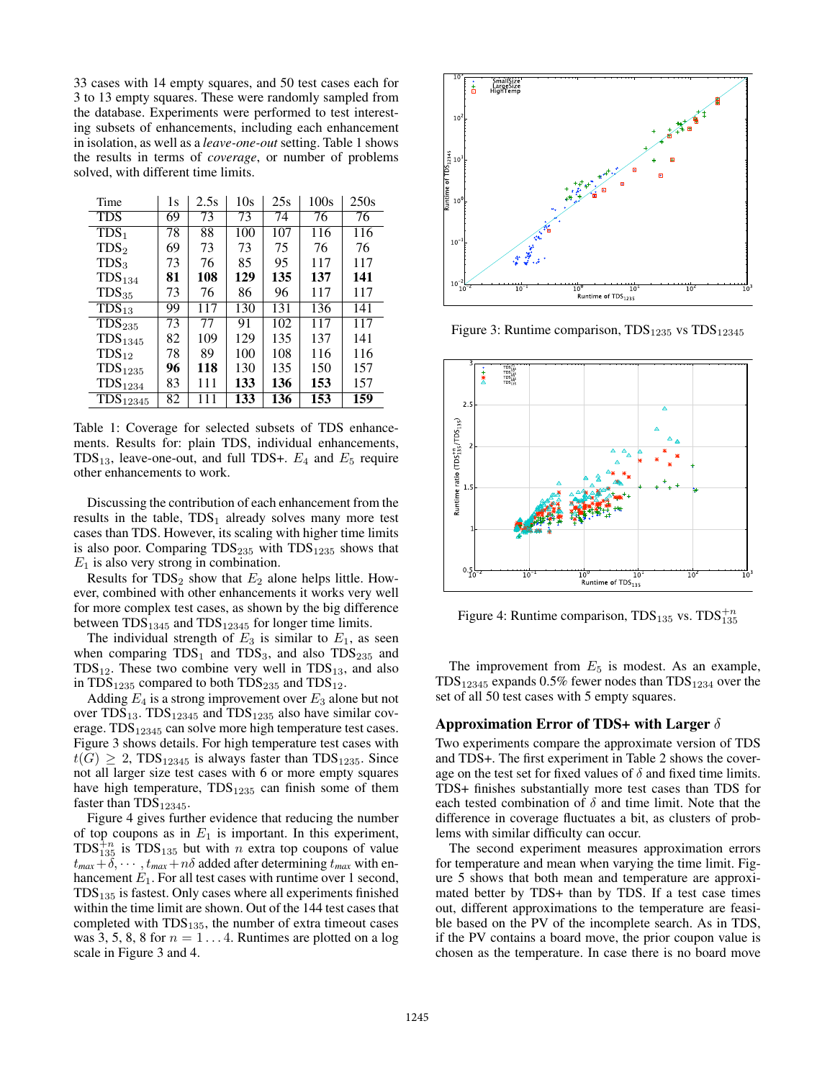33 cases with 14 empty squares, and 50 test cases each for 3 to 13 empty squares. These were randomly sampled from the database. Experiments were performed to test interesting subsets of enhancements, including each enhancement in isolation, as well as a *leave-one-out* setting. Table 1 shows the results in terms of *coverage*, or number of problems solved, with different time limits.

| Time                                 | 1s | 2.5s | 10s | 25s | 100s | 250s |
|--------------------------------------|----|------|-----|-----|------|------|
| <b>TDS</b>                           | 69 | 73   | 73  | 74  | 76   | 76   |
| $\overline{\text{TDS}}_1$            | 78 | 88   | 100 | 107 | 116  | 116  |
| TDS <sub>2</sub>                     | 69 | 73   | 73  | 75  | 76   | 76   |
| TDS <sub>3</sub>                     | 73 | 76   | 85  | 95  | 117  | 117  |
| TDS <sub>134</sub>                   | 81 | 108  | 129 | 135 | 137  | 141  |
| $TDS_{35}$                           | 73 | 76   | 86  | 96  | 117  | 117  |
| $\overline{\text{TDS}}_{13}$         | 99 | 117  | 130 | 131 | 136  | 141  |
| $\overline{\text{TD}}\text{S}_{235}$ | 73 | 77   | 91  | 102 | 117  | 117  |
| TDS <sub>1345</sub>                  | 82 | 109  | 129 | 135 | 137  | 141  |
| $TDS_{12}$                           | 78 | 89   | 100 | 108 | 116  | 116  |
| TDS <sub>1235</sub>                  | 96 | 118  | 130 | 135 | 150  | 157  |
| $\text{TDS}_{1234}$                  | 83 | 111  | 133 | 136 | 153  | 157  |
| TDS <sub>12345</sub>                 | 82 | 111  | 133 | 136 | 153  | 159  |

Table 1: Coverage for selected subsets of TDS enhancements. Results for: plain TDS, individual enhancements, TDS<sub>13</sub>, leave-one-out, and full TDS+.  $E_4$  and  $E_5$  require other enhancements to work.

Discussing the contribution of each enhancement from the results in the table,  $TDS_1$  already solves many more test cases than TDS. However, its scaling with higher time limits is also poor. Comparing  $TDS_{235}$  with  $TDS_{1235}$  shows that  $E_1$  is also very strong in combination.

Results for  $TDS_2$  show that  $E_2$  alone helps little. However, combined with other enhancements it works very well for more complex test cases, as shown by the big difference between  $TDS_{1345}$  and  $TDS_{12345}$  for longer time limits.

The individual strength of  $E_3$  is similar to  $E_1$ , as seen when comparing  $TDS_1$  and  $TDS_3$ , and also  $TDS_{235}$  and  $TDS_{12}$ . These two combine very well in  $TDS_{13}$ , and also in  $TDS_{1235}$  compared to both  $TDS_{235}$  and  $TDS_{12}$ .

Adding  $E_4$  is a strong improvement over  $E_3$  alone but not over  $TDS_{13}$ .  $TDS_{12345}$  and  $TDS_{1235}$  also have similar coverage.  $TDS_{12345}$  can solve more high temperature test cases. Figure 3 shows details. For high temperature test cases with  $t(G) \geq 2$ , TDS<sub>12345</sub> is always faster than TDS<sub>1235</sub>. Since not all larger size test cases with 6 or more empty squares have high temperature,  $TDS_{1235}$  can finish some of them faster than  $TDS_{12345}$ .

Figure 4 gives further evidence that reducing the number of top coupons as in  $E_1$  is important. In this experiment,  $TDS_{135}^{+n}$  is  $TDS_{135}$  but with *n* extra top coupons of value  $t_{max} + \delta$ ,  $\cdots$ ,  $t_{max} + n\delta$  added after determining  $t_{max}$  with enhancement  $E_1$ . For all test cases with runtime over 1 second,  $TDS<sub>135</sub>$  is fastest. Only cases where all experiments finished within the time limit are shown. Out of the 144 test cases that completed with  $TDS_{135}$ , the number of extra timeout cases was 3, 5, 8, 8 for  $n = 1...4$ . Runtimes are plotted on a log scale in Figure 3 and 4.



Figure 3: Runtime comparison,  $TDS_{1235}$  vs  $TDS_{12345}$ 



Figure 4: Runtime comparison,  $TDS_{135}$  vs.  $TDS_{135}^{+n}$ 

The improvement from  $E_5$  is modest. As an example,  $TDS_{12345}$  expands 0.5% fewer nodes than  $TDS_{1234}$  over the set of all 50 test cases with 5 empty squares.

### Approximation Error of TDS+ with Larger  $\delta$

Two experiments compare the approximate version of TDS and TDS+. The first experiment in Table 2 shows the coverage on the test set for fixed values of  $\delta$  and fixed time limits. TDS+ finishes substantially more test cases than TDS for each tested combination of  $\delta$  and time limit. Note that the difference in coverage fluctuates a bit, as clusters of problems with similar difficulty can occur.

The second experiment measures approximation errors for temperature and mean when varying the time limit. Figure 5 shows that both mean and temperature are approximated better by TDS+ than by TDS. If a test case times out, different approximations to the temperature are feasible based on the PV of the incomplete search. As in TDS, if the PV contains a board move, the prior coupon value is chosen as the temperature. In case there is no board move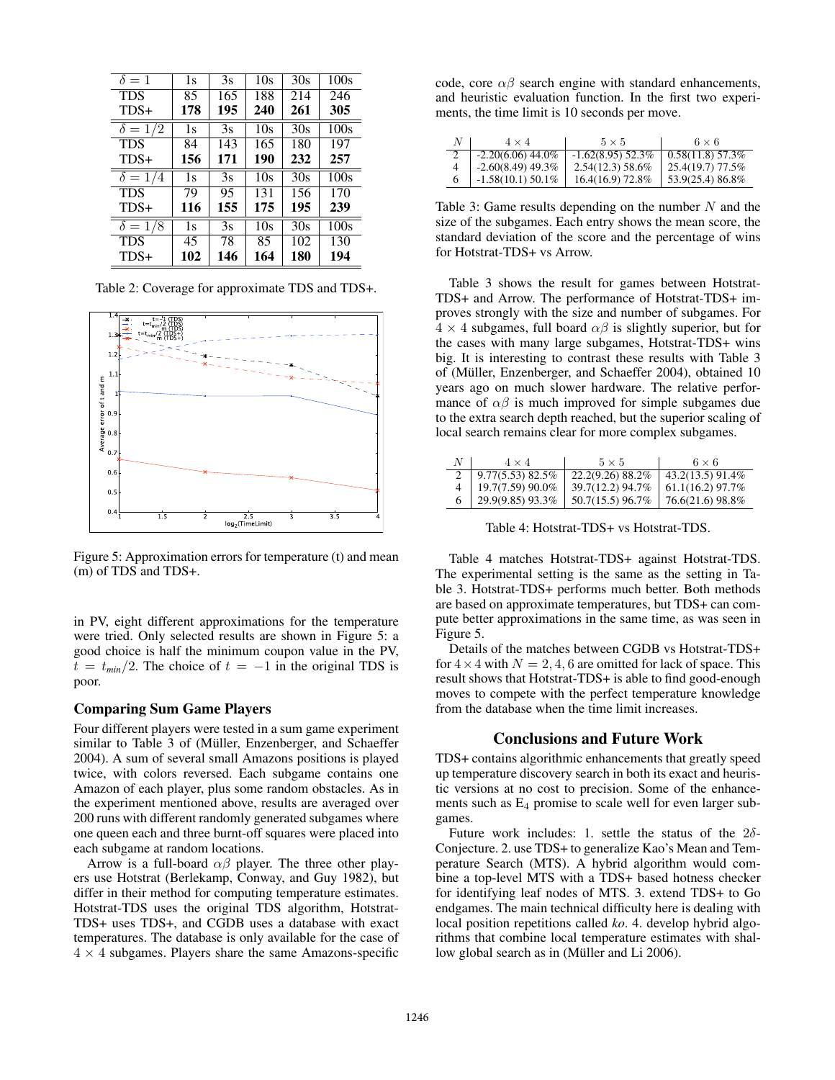| $\delta = 1$   | 1s  | 3s  | 10s | 30s | 100s |
|----------------|-----|-----|-----|-----|------|
| <b>TDS</b>     | 85  | 165 | 188 | 214 | 246  |
| TDS+           | 178 | 195 | 240 | 261 | 305  |
| $\delta = 1/2$ | 1s  | 3s  | 10s | 30s | 100s |
| <b>TDS</b>     | 84  | 143 | 165 | 180 | 197  |
| TDS+           | 156 | 171 | 190 | 232 | 257  |
|                |     |     |     |     |      |
| $\delta = 1/4$ | 1s  | 3s  | 10s | 30s | 100s |
| <b>TDS</b>     | 79  | 95  | 131 | 156 | 170  |
| $TDS+$         | 116 | 155 | 175 | 195 | 239  |
| $\delta = 1/8$ | 1s  | 3s  | 10s | 30s | 100s |
| <b>TDS</b>     | 45  | 78  | 85  | 102 | 130  |

Table 2: Coverage for approximate TDS and TDS+.



Figure 5: Approximation errors for temperature (t) and mean (m) of TDS and TDS+.

in PV, eight different approximations for the temperature were tried. Only selected results are shown in Figure 5: a good choice is half the minimum coupon value in the PV,  $t = t_{min}/2$ . The choice of  $t = -1$  in the original TDS is poor.

### Comparing Sum Game Players

Four different players were tested in a sum game experiment similar to Table 3 of (Müller, Enzenberger, and Schaeffer 2004). A sum of several small Amazons positions is played twice, with colors reversed. Each subgame contains one Amazon of each player, plus some random obstacles. As in the experiment mentioned above, results are averaged over 200 runs with different randomly generated subgames where one queen each and three burnt-off squares were placed into each subgame at random locations.

Arrow is a full-board  $\alpha\beta$  player. The three other players use Hotstrat (Berlekamp, Conway, and Guy 1982), but differ in their method for computing temperature estimates. Hotstrat-TDS uses the original TDS algorithm, Hotstrat-TDS+ uses TDS+, and CGDB uses a database with exact temperatures. The database is only available for the case of  $4 \times 4$  subgames. Players share the same Amazons-specific code, core  $\alpha\beta$  search engine with standard enhancements, and heuristic evaluation function. In the first two experiments, the time limit is 10 seconds per move.

| $4 \times 4$        | $5 \times 5$        | $6 \times 6$       |
|---------------------|---------------------|--------------------|
| $-2.20(6.06)$ 44.0% | $-1.62(8.95)$ 52.3% | $0.58(11.8)$ 57.3% |
| $-2.60(8.49)$ 49.3% | $2.54(12.3)$ 58.6%  | 25.4(19.7) 77.5%   |
| $-1.58(10.1)$ 50.1% | 16.4(16.9) 72.8%    | 53.9(25.4) 86.8%   |

Table 3: Game results depending on the number  $N$  and the size of the subgames. Each entry shows the mean score, the standard deviation of the score and the percentage of wins for Hotstrat-TDS+ vs Arrow.

Table 3 shows the result for games between Hotstrat-TDS+ and Arrow. The performance of Hotstrat-TDS+ improves strongly with the size and number of subgames. For  $4 \times 4$  subgames, full board  $\alpha\beta$  is slightly superior, but for the cases with many large subgames, Hotstrat-TDS+ wins big. It is interesting to contrast these results with Table 3 of (Müller, Enzenberger, and Schaeffer 2004), obtained 10 years ago on much slower hardware. The relative performance of  $\alpha\beta$  is much improved for simple subgames due to the extra search depth reached, but the superior scaling of local search remains clear for more complex subgames.

| N | $4 \times 4$          | $5 \times 5$     | $6 \times 6$       |
|---|-----------------------|------------------|--------------------|
|   | $9.77(5.53)$ 82.5%    | 22.2(9.26) 88.2% | 43.2(13.5) 91.4%   |
|   | $19.7(7.59)90.0\%$    | 39.7(12.2) 94.7% | $61.1(16.2)$ 97.7% |
|   | $29.9(9.85)$ $93.3\%$ | 50.7(15.5) 96.7% | 76.6(21.6) 98.8%   |

Table 4: Hotstrat-TDS+ vs Hotstrat-TDS.

Table 4 matches Hotstrat-TDS+ against Hotstrat-TDS. The experimental setting is the same as the setting in Table 3. Hotstrat-TDS+ performs much better. Both methods are based on approximate temperatures, but TDS+ can compute better approximations in the same time, as was seen in Figure 5.

Details of the matches between CGDB vs Hotstrat-TDS+ for  $4 \times 4$  with  $N = 2, 4, 6$  are omitted for lack of space. This result shows that Hotstrat-TDS+ is able to find good-enough moves to compete with the perfect temperature knowledge from the database when the time limit increases.

### Conclusions and Future Work

TDS+ contains algorithmic enhancements that greatly speed up temperature discovery search in both its exact and heuristic versions at no cost to precision. Some of the enhancements such as  $E_4$  promise to scale well for even larger subgames.

Future work includes: 1. settle the status of the  $2\delta$ -Conjecture. 2. use TDS+ to generalize Kao's Mean and Temperature Search (MTS). A hybrid algorithm would combine a top-level MTS with a TDS+ based hotness checker for identifying leaf nodes of MTS. 3. extend TDS+ to Go endgames. The main technical difficulty here is dealing with local position repetitions called *ko*. 4. develop hybrid algorithms that combine local temperature estimates with shallow global search as in (Müller and Li 2006).